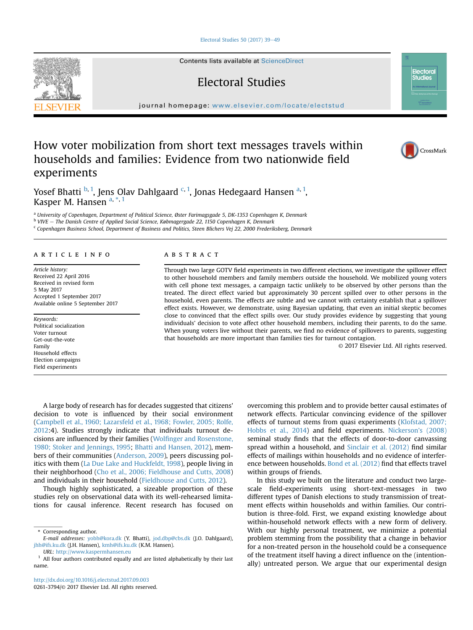### [Electoral Studies 50 \(2017\) 39](http://dx.doi.org/10.1016/j.electstud.2017.09.003)-[49](http://dx.doi.org/10.1016/j.electstud.2017.09.003)

Contents lists available at [ScienceDirect](www.sciencedirect.com/science/journal/02613794)

# Electoral Studies

journal homepage: <www.elsevier.com/locate/electstud>

# How voter mobilization from short text messages travels within households and families: Evidence from two nationwide field experiments



**Electoral Studies** 

Yosef Bhatti <sup>b, 1</sup>, Jens Olav Dahlgaard <sup>c, 1</sup>, Jonas Hedegaard Hansen <sup>a, 1</sup>, Kasper M. Hansen a, \*, 1

a University of Copenhagen, Department of Political Science, Øster Farimagsgade 5, DK-1353 Copenhagen K, Denmark <sup>b</sup> VIVE - The Danish Centre of Applied Social Science, Købmagergade 22, 1150 Copenhagen K, Denmark

<sup>c</sup> Copenhagen Business School, Department of Business and Politics, Steen Blichers Vej 22, 2000 Frederiksberg, Denmark

#### article info

Article history: Received 22 April 2016 Received in revised form 5 May 2017 Accepted 1 September 2017 Available online 5 September 2017

Keywords: Political socialization Voter turnout Get-out-the-vote Family Household effects Election campaigns Field experiments

# **ABSTRACT**

Through two large GOTV field experiments in two different elections, we investigate the spillover effect to other household members and family members outside the household. We mobilized young voters with cell phone text messages, a campaign tactic unlikely to be observed by other persons than the treated. The direct effect varied but approximately 30 percent spilled over to other persons in the household, even parents. The effects are subtle and we cannot with certainty establish that a spillover effect exists. However, we demonstrate, using Bayesian updating, that even an initial skeptic becomes close to convinced that the effect spills over. Our study provides evidence by suggesting that young individuals' decision to vote affect other household members, including their parents, to do the same. When young voters live without their parents, we find no evidence of spillovers to parents, suggesting that households are more important than families ties for turnout contagion.

© 2017 Elsevier Ltd. All rights reserved.

A large body of research has for decades suggested that citizens' decision to vote is influenced by their social environment ([Campbell et al., 1960; Lazarsfeld et al., 1968; Fowler, 2005; Rolfe,](#page-9-0) [2012:](#page-9-0)4). Studies strongly indicate that individuals turnout decisions are influenced by their families (Wolfi[nger and Rosenstone,](#page-10-0) [1980; Stoker and Jennings, 1995](#page-10-0); [Bhatti and Hansen, 2012](#page-9-0)), members of their communities [\(Anderson, 2009](#page-9-0)), peers discussing politics with them [\(La Due Lake and Huckfeldt, 1998\)](#page-10-0), people living in their neighborhood [\(Cho et al., 2006; Fieldhouse and Cutts, 2008\)](#page-9-0) and individuals in their household ([Fieldhouse and Cutts, 2012\)](#page-10-0).

Though highly sophisticated, a sizeable proportion of these studies rely on observational data with its well-rehearsed limitations for causal inference. Recent research has focused on

URL: <http://www.kaspermhansen.eu>

overcoming this problem and to provide better causal estimates of network effects. Particular convincing evidence of the spillover effects of turnout stems from quasi experiments ([Klofstad, 2007;](#page-10-0) [Hobbs et al., 2014](#page-10-0)) and field experiments. [Nickerson's \(2008\)](#page-10-0) seminal study finds that the effects of door-to-door canvassing spread within a household, and [Sinclair et al. \(2012\)](#page-10-0) find similar effects of mailings within households and no evidence of interference between households. [Bond et al. \(2012\)](#page-9-0) find that effects travel within groups of friends.

In this study we built on the literature and conduct two largescale field-experiments using short-text-messages in two different types of Danish elections to study transmission of treatment effects within households and within families. Our contribution is three-fold. First, we expand existing knowledge about within-household network effects with a new form of delivery. With our highly personal treatment, we minimize a potential problem stemming from the possibility that a change in behavior for a non-treated person in the household could be a consequence of the treatment itself having a direct influence on the (intentionally) untreated person. We argue that our experimental design



<sup>\*</sup> Corresponding author.

E-mail addresses: [yobh@kora.dk](mailto:yobh@kora.dk) (Y. Bhatti), [jod.dbp@cbs.dk](mailto:jod.dbp@cbs.dk) (J.O. Dahlgaard), [jhh@ifs.ku.dk](mailto:jhh@ifs.ku.dk) (J.H. Hansen), [kmh@ifs.ku.dk](mailto:kmh@ifs.ku.dk) (K.M. Hansen).

All four authors contributed equally and are listed alphabetically by their last name.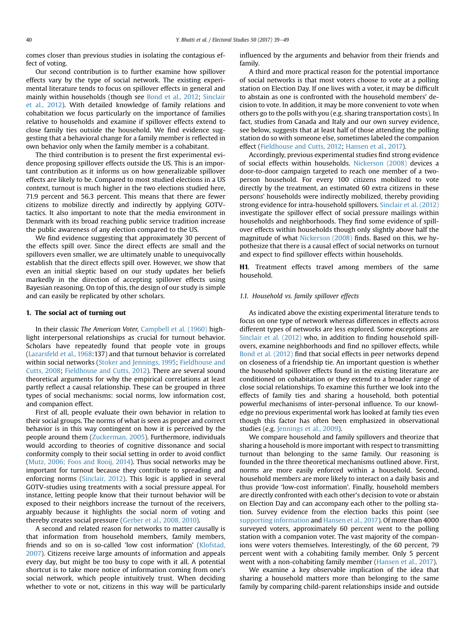comes closer than previous studies in isolating the contagious effect of voting.

Our second contribution is to further examine how spillover effects vary by the type of social network. The existing experimental literature tends to focus on spillover effects in general and mainly within households (though see [Bond et al., 2012;](#page-9-0) [Sinclair](#page-10-0) [et al., 2012](#page-10-0)). With detailed knowledge of family relations and cohabitation we focus particularly on the importance of families relative to households and examine if spillover effects extend to close family ties outside the household. We find evidence suggesting that a behavioral change for a family member is reflected in own behavior only when the family member is a cohabitant.

The third contribution is to present the first experimental evidence proposing spillover effects outside the US. This is an important contribution as it informs us on how generalizable spillover effects are likely to be. Compared to most studied elections in a US context, turnout is much higher in the two elections studied here, 71.9 percent and 56.3 percent. This means that there are fewer citizens to mobilize directly and indirectly by applying GOTVtactics. It also important to note that the media environment in Denmark with its broad reaching public service tradition increase the public awareness of any election compared to the US.

We find evidence suggesting that approximately 30 percent of the effects spill over. Since the direct effects are small and the spillovers even smaller, we are ultimately unable to unequivocally establish that the direct effects spill over. However, we show that even an initial skeptic based on our study updates her beliefs markedly in the direction of accepting spillover effects using Bayesian reasoning. On top of this, the design of our study is simple and can easily be replicated by other scholars.

#### 1. The social act of turning out

In their classic The American Voter, [Campbell et al. \(1960\)](#page-9-0) highlight interpersonal relationships as crucial for turnout behavior. Scholars have repeatedly found that people vote in groups ([Lazarsfeld et al., 1968:](#page-10-0)137) and that turnout behavior is correlated within social networks [\(Stoker and Jennings, 1995;](#page-10-0) [Fieldhouse and](#page-9-0) [Cutts, 2008](#page-9-0); [Fieldhouse and Cutts, 2012\)](#page-10-0). There are several sound theoretical arguments for why the empirical correlations at least partly reflect a causal relationship. These can be grouped in three types of social mechanisms: social norms, low information cost, and companion effect.

First of all, people evaluate their own behavior in relation to their social groups. The norms of what is seen as proper and correct behavior is in this way contingent on how it is perceived by the people around them [\(Zuckerman, 2005](#page-10-0)). Furthermore, individuals would according to theories of cognitive dissonance and social conformity comply to their social setting in order to avoid conflict ([Mutz, 2006; Foos and Rooij, 2014](#page-10-0)). Thus social networks may be important for turnout because they contribute to spreading and enforcing norms [\(Sinclair, 2012\)](#page-10-0). This logic is applied in several GOTV-studies using treatments with a social pressure appeal. For instance, letting people know that their turnout behavior will be exposed to their neighbors increase the turnout of the receivers, arguably because it highlights the social norm of voting and thereby creates social pressure ([Gerber et al., 2008, 2010](#page-10-0)).

A second and related reason for networks to matter causally is that information from household members, family members, friends and so on is so-called 'low cost information' [\(Klofstad,](#page-10-0) [2007\)](#page-10-0). Citizens receive large amounts of information and appeals every day, but might be too busy to cope with it all. A potential shortcut is to take more notice of information coming from one's social network, which people intuitively trust. When deciding whether to vote or not, citizens in this way will be particularly influenced by the arguments and behavior from their friends and family.

A third and more practical reason for the potential importance of social networks is that most voters choose to vote at a polling station on Election Day. If one lives with a voter, it may be difficult to abstain as one is confronted with the household members' decision to vote. In addition, it may be more convenient to vote when others go to the polls with you (e.g. sharing transportation costs). In fact, studies from Canada and Italy and our own survey evidence, see below, suggests that at least half of those attending the polling station do so with someone else, sometimes labeled the companion effect [\(Fieldhouse and Cutts, 2012](#page-10-0); [Hansen et al., 2017](#page-10-0)).

Accordingly, previous experimental studies find strong evidence of social effects within households. [Nickerson \(2008\)](#page-10-0) devices a door-to-door campaign targeted to reach one member of a twoperson household. For every 100 citizens mobilized to vote directly by the treatment, an estimated 60 extra citizens in these persons' households were indirectly mobilized, thereby providing strong evidence for intra-household spillovers. [Sinclair et al. \(2012\)](#page-10-0) investigate the spillover effect of social pressure mailings within households and neighborhoods. They find some evidence of spillover effects within households though only slightly above half the magnitude of what [Nickerson \(2008\)](#page-10-0) finds. Based on this, we hypothesize that there is a causal effect of social networks on turnout and expect to find spillover effects within households.

H1. Treatment effects travel among members of the same household.

#### 1.1. Household vs. family spillover effects

As indicated above the existing experimental literature tends to focus on one type of network whereas differences in effects across different types of networks are less explored. Some exceptions are [Sinclair et al. \(2012\)](#page-10-0) who, in addition to finding household spillovers, examine neighborhoods and find no spillover effects, while [Bond et al. \(2012\)](#page-9-0) find that social effects in peer networks depend on closeness of a friendship tie. An important question is whether the household spillover effects found in the existing literature are conditioned on cohabitation or they extend to a broader range of close social relationships. To examine this further we look into the effects of family ties and sharing a household, both potential powerful mechanisms of inter-personal influence. To our knowledge no previous experimental work has looked at family ties even though this factor has often been emphasized in observational studies (e.g. [Jennings et al., 2009\)](#page-10-0).

We compare household and family spillovers and theorize that sharing a household is more important with respect to transmitting turnout than belonging to the same family. Our reasoning is founded in the three theoretical mechanisms outlined above. First, norms are more easily enforced within a household. Second, household members are more likely to interact on a daily basis and thus provide 'low-cost information'. Finally, household members are directly confronted with each other's decision to vote or abstain on Election Day and can accompany each other to the polling station. Survey evidence from the election backs this point (see supporting information and [Hansen et al., 2017](#page-10-0)). Of more than 4000 surveyed voters, approximately 60 percent went to the polling station with a companion voter. The vast majority of the companions were voters themselves. Interestingly, of the 60 percent, 79 percent went with a cohabiting family member. Only 5 percent went with a non-cohabiting family member [\(Hansen et al., 2017\)](#page-10-0).

We examine a key observable implication of the idea that sharing a household matters more than belonging to the same family by comparing child-parent relationships inside and outside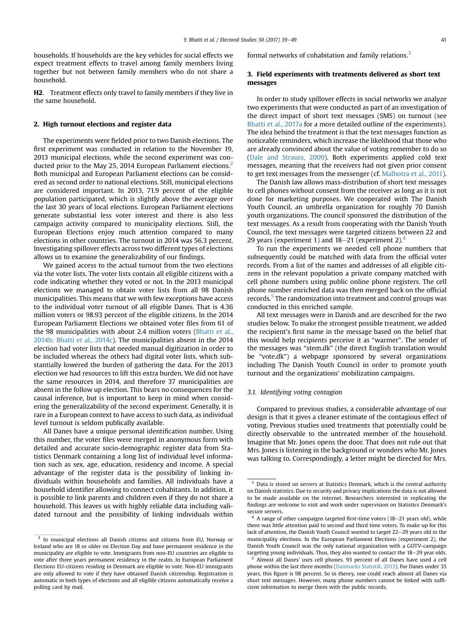households. If households are the key vehicles for social effects we expect treatment effects to travel among family members living together but not between family members who do not share a household.

H2. Treatment effects only travel to family members if they live in the same household.

### 2. High turnout elections and register data

The experiments were fielded prior to two Danish elections. The first experiment was conducted in relation to the November 19, 2013 municipal elections, while the second experiment was conducted prior to the May 25, 2014 European Parliament elections.<sup>2</sup> Both municipal and European Parliament elections can be considered as second order to national elections. Still, municipal elections are considered important. In 2013, 71.9 percent of the eligible population participated, which is slightly above the average over the last 30 years of local elections. European Parliament elections generate substantial less voter interest and there is also less campaign activity compared to municipality elections. Still, the European Elections enjoy much attention compared to many elections in other countries. The turnout in 2014 was 56.3 percent. Investigating spillover effects across two different types of elections allows us to examine the generalizability of our findings.

We gained access to the actual turnout from the two elections via the voter lists. The voter lists contain all eligible citizens with a code indicating whether they voted or not. In the 2013 municipal elections we managed to obtain voter lists from all 98 Danish municipalities. This means that we with few exceptions have access to the individual voter turnout of all eligible Danes. That is 4.36 million voters or 98.93 percent of the eligible citizens. In the 2014 European Parliament Elections we obtained voter files from 61 of the 98 municipalities with about 2.4 million voters ([Bhatti et al.,](#page-9-0) [2014b; Bhatti et al., 2014c\)](#page-9-0). The municipalities absent in the 2014 election had voter lists that needed manual digitization in order to be included whereas the others had digital voter lists, which substantially lowered the burden of gathering the data. For the 2013 election we had resources to lift this extra burden. We did not have the same resources in 2014, and therefore 37 municipalities are absent in the follow up election. This bears no consequences for the causal inference, but is important to keep in mind when considering the generalizability of the second experiment. Generally, it is rare in a European context to have access to such data, as individual level turnout is seldom publically available.

All Danes have a unique personal identification number. Using this number, the voter files were merged in anonymous form with detailed and accurate socio-demographic register data from Statistics Denmark containing a long list of individual level information such as sex, age, education, residency and income. A special advantage of the register data is the possibility of linking individuals within households and families. All individuals have a household identifier allowing to connect cohabitants. In addition, it is possible to link parents and children even if they do not share a household. This leaves us with highly reliable data including validated turnout and the possibility of linking individuals within formal networks of cohabitation and family relations.<sup>3</sup>

## 3. Field experiments with treatments delivered as short text messages

In order to study spillover effects in social networks we analyze two experiments that were conducted as part of an investigation of the direct impact of short text messages (SMS) on turnout (see [Bhatti et al., 2017a](#page-9-0) for a more detailed outline of the experiments). The idea behind the treatment is that the text messages function as noticeable reminders, which increase the likelihood that those who are already convinced about the value of voting remember to do so ([Dale and Strauss, 2009\)](#page-9-0). Both experiments applied cold text messages, meaning that the receivers had not given prior consent to get text messages from the messenger (cf. [Malhotra et al., 2011\)](#page-10-0).

The Danish law allows mass-distribution of short text messages to cell phones without consent from the receiver as long as it is not done for marketing purposes. We cooperated with The Danish Youth Council, an umbrella organization for roughly 70 Danish youth organizations. The council sponsored the distribution of the text messages. As a result from cooperating with the Danish Youth Council, the text messages were targeted citizens between 22 and 29 years (experiment 1) and  $18-21$  (experiment 2).<sup>4</sup>

To run the experiments we needed cell phone numbers that subsequently could be matched with data from the official voter records. From a list of the names and addresses of all eligible citizens in the relevant population a private company matched with cell phone numbers using public online phone registers. The cell phone number enriched data was then merged back on the official records.<sup>5</sup> The randomization into treatment and control groups was conducted in this enriched sample.

All text messages were in Danish and are described for the two studies below. To make the strongest possible treatment, we added the recipient's first name in the message based on the belief that this would help recipients perceive it as "warmer". The sender of the messages was "stem.dk" (the direct English translation would be "vote.dk") a webpage sponsored by several organizations including The Danish Youth Council in order to promote youth turnout and the organizations' mobilization campaigns.

### 3.1. Identifying voting contagion

Compared to previous studies, a considerable advantage of our design is that it gives a cleaner estimate of the contagious effect of voting. Previous studies used treatments that potentially could be directly observable to the untreated member of the household. Imagine that Mr. Jones opens the door. That does not rule out that Mrs. Jones is listening in the background or wonders who Mr. Jones was talking to. Correspondingly, a letter might be directed for Mrs.

<sup>2</sup> In municipal elections all Danish citizens and citizens from EU, Norway or Iceland who are 18 or older on Election Day and have permanent residence in the municipality are eligible to vote. Immigrants from non-EU countries are eligible to vote after three years permanent residency in the realm. In European Parliament Elections EU-citizens residing in Denmark are eligible to vote. Non-EU immigrants are only allowed to vote if they have obtained Danish citizenship. Registration is automatic in both types of elections and all eligible citizens automatically receive a polling card by mail.

 $3$  Data is stored on servers at Statistics Denmark, which is the central authority on Danish statistics. Due to security and privacy implications the data is not allowed to be made available on the internet. Researchers interested in replicating the findings are welcome to visit and work under supervision on Statistics Denmark's secure servers.

 $4$  A range of other campaigns targeted first-time voters (18-21 years old), while there was little attention paid to second and third time voters. To make up for this lack of attention, the Danish Youth Council wanted to target 22–29 years old in the municipality elections. In the European Parliament Elections (experiment 2), the Danish Youth Council was the only national organization with a GOTV-campaign targeting young individuals. Thus, they also wanted to contact the  $18-29$  year olds.

<sup>5</sup> Almost all Danes' uses cell phones. 93 percent of all Danes have used a cell phone within the last three months [\(Danmarks Statistik, 2013\)](#page-9-0). For Danes under 35 years, this figure is 98 percent. So in theory, one could reach almost all Danes via short text messages. However, many phone numbers cannot be linked with sufficient information to merge them with the public records.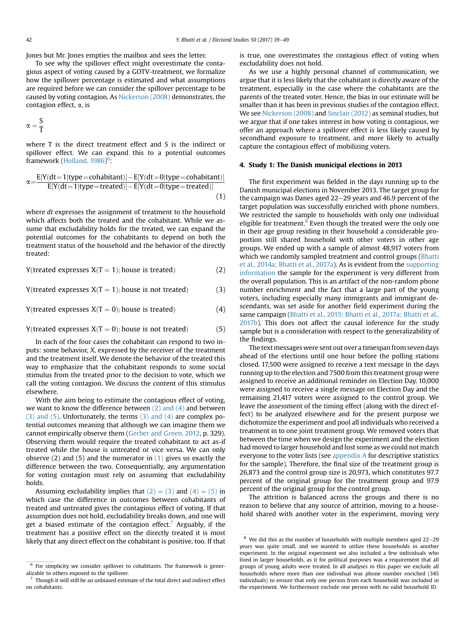Jones but Mr. Jones empties the mailbox and sees the letter.

To see why the spillover effect might overestimate the contagious aspect of voting caused by a GOTV-treatment, we formalize how the spillover percentage is estimated and what assumptions are required before we can consider the spillover percentage to be caused by voting contagion. As [Nickerson \(2008\)](#page-10-0) demonstrates, the contagion effect, a, is

$$
\alpha=\frac{S}{T}
$$

where T is the direct treatment effect and S is the indirect or spillover effect. We can expand this to a potential outcomes framework ([Holland, 1986\)](#page-10-0)<sup>6</sup>:

$$
\alpha = \frac{E[Y(dt=1|type=cohabitant)] - E[Y(dt=0|type=cohabitant)]}{E[Y(dt=1|type=treated)] - E[Y(dt=0|type=treated)]}
$$
\n(1)

where *dt* expresses the assignment of treatment to the household which affects both the treated and the cohabitant. While we assume that excludability holds for the treated, we can expand the potential outcomes for the cohabitants to depend on both the treatment status of the household and the behavior of the directly treated:

Y(treated expresses  $X(T = 1)$ ; house is treated) (2)

Y(treated expresses  $X(T = 1)$ ; house is not treated) (3)

Y(treated expresses 
$$
X(T = 0)
$$
; house is treated) (4)

$$
Y(treated expresses X(T = 0); house is not treated)
$$
 (5)

In each of the four cases the cohabitant can respond to two inputs: some behavior, X, expressed by the receiver of the treatment and the treatment itself. We denote the behavior of the treated this way to emphasize that the cohabitant responds to some social stimulus from the treated prior to the decision to vote, which we call the voting contagion. We discuss the content of this stimulus elsewhere.

With the aim being to estimate the contagious effect of voting, we want to know the difference between (2) and (4) and between (3) and (5). Unfortunately, the terms (3) and (4) are complex potential outcomes meaning that although we can imagine them we cannot empirically observe them ([Gerber and Green, 2012,](#page-10-0) p. 329). Observing them would require the treated cohabitant to act as-if treated while the house is untreated or vice versa. We can only observe (2) and (5) and the numerator in (1) gives us exactly the difference between the two. Consequentially, any argumentation for voting contagion must rely on assuming that excludability holds.

Assuming excludability implies that  $(2) = (3)$  and  $(4) = (5)$  in which case the difference in outcomes between cohabitants of treated and untreated gives the contagious effect of voting. If that assumption does not hold, excludability breaks down, and one will get a biased estimate of the contagion effect. Arguably, if the treatment has a positive effect on the directly treated it is most likely that any direct effect on the cohabitant is positive, too. If that is true, one overestimates the contagious effect of voting when excludability does not hold.

As we use a highly personal channel of communication, we argue that it is less likely that the cohabitant is directly aware of the treatment, especially in the case where the cohabitants are the parents of the treated voter. Hence, the bias in our estimate will be smaller than it has been in previous studies of the contagion effect. We see [Nickerson \(2008\)](#page-10-0) and [Sinclair \(2012\)](#page-10-0) as seminal studies, but we argue that if one takes interest in how voting is contagious, we offer an approach where a spillover effect is less likely caused by secondhand exposure to treatment, and more likely to actually capture the contagious effect of mobilizing voters.

#### 4. Study 1: The Danish municipal elections in 2013

The first experiment was fielded in the days running up to the Danish municipal elections in November 2013. The target group for the campaign was Danes aged  $22-29$  years and 46.9 percent of the target population was successfully enriched with phone numbers. We restricted the sample to households with only one individual eligible for treatment. $8$  Even though the treated were the only one in their age group residing in their household a considerable proportion still shared household with other voters in other age groups. We ended up with a sample of almost 48,917 voters from which we randomly sampled treatment and control groups [\(Bhatti](#page-9-0) [et al., 2014a; Bhatti et al., 2017a\)](#page-9-0). As is evident from the supporting information the sample for the experiment is very different from the overall population. This is an artifact of the non-random phone number enrichment and the fact that a large part of the young voters, including especially many immigrants and immigrant descendants, was set aside for another field experiment during the same campaign [\(Bhatti et al., 2015; Bhatti et al., 2017a; Bhatti et al.,](#page-9-0) [2017b\)](#page-9-0). This does not affect the causal inference for the study sample but is a consideration with respect to the generalizability of the findings.

The text messages were sent out over a timespan from seven days ahead of the elections until one hour before the polling stations closed. 17,500 were assigned to receive a text message in the days running up to the election and 7500 from this treatment group were assigned to receive an additional reminder on Election Day. 10,000 were assigned to receive a single message on Election Day and the remaining 21,417 voters were assigned to the control group. We leave the assessment of the timing effect (along with the direct effect) to be analyzed elsewhere and for the present purpose we dichotomize the experiment and pool all individuals who received a treatment in to one joint treatment group. We removed voters that between the time when we design the experiment and the election had moved to larger household and lost some as we could not match everyone to the voter lists (see [appendix A](#page-9-0) for descriptive statistics for the sample). Therefore, the final size of the treatment group is 26,873 and the control group size is 20,973, which constitutes 97.7 percent of the original group for the treatment group and 97.9 percent of the original group for the control group.

The attrition is balanced across the groups and there is no reason to believe that any source of attrition, moving to a household shared with another voter in the experiment, moving very

 $6$  For simplicity we consider spillover to cohabitants. The framework is generalizable to others exposed to the spillover.

 $7$  Though it will still be an unbiased estimate of the total direct and indirect effect on cohabitants.

 $8\,$  We did this as the number of households with multiple members aged 22-29 years was quite small, and we wanted to utilize these households in another experiment. In the original experiment we also included a few individuals who lived in larger households, as it for political purposes was a requirement that all groups of young adults were treated. In all analyses in this paper we exclude all households where more than one individual was phone number enriched (345 individuals) to ensure that only one person from each household was included in the experiment. We furthermore exclude one person with no valid household ID.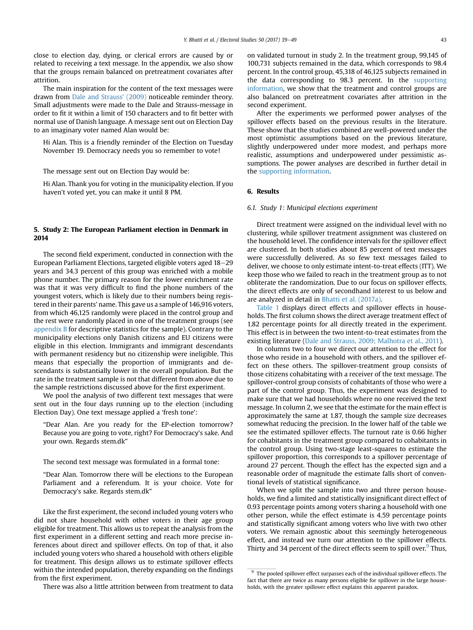close to election day, dying, or clerical errors are caused by or related to receiving a text message. In the appendix, we also show that the groups remain balanced on pretreatment covariates after attrition.

The main inspiration for the content of the text messages were drawn from [Dale and Strauss' \(2009\)](#page-9-0) noticeable reminder theory. Small adjustments were made to the Dale and Strauss-message in order to fit it within a limit of 150 characters and to fit better with normal use of Danish language. A message sent out on Election Day to an imaginary voter named Alan would be:

Hi Alan. This is a friendly reminder of the Election on Tuesday November 19. Democracy needs you so remember to vote!

The message sent out on Election Day would be:

Hi Alan. Thank you for voting in the municipality election. If you haven't voted yet, you can make it until 8 PM.

## 5. Study 2: The European Parliament election in Denmark in 2014

The second field experiment, conducted in connection with the European Parliament Elections, targeted eligible voters aged 18-29 years and 34.3 percent of this group was enriched with a mobile phone number. The primary reason for the lower enrichment rate was that it was very difficult to find the phone numbers of the youngest voters, which is likely due to their numbers being registered in their parents' name. This gave us a sample of 146,916 voters, from which 46,125 randomly were placed in the control group and the rest were randomly placed in one of the treatment groups (see [appendix B](#page-9-0) for descriptive statistics for the sample). Contrary to the municipality elections only Danish citizens and EU citizens were eligible in this election. Immigrants and immigrant descendants with permanent residency but no citizenship were ineligible. This means that especially the proportion of immigrants and descendants is substantially lower in the overall population. But the rate in the treatment sample is not that different from above due to the sample restrictions discussed above for the first experiment.

We pool the analysis of two different text messages that were sent out in the four days running up to the election (including Election Day). One text message applied a 'fresh tone':

"Dear Alan. Are you ready for the EP-election tomorrow? Because you are going to vote, right? For Democracy's sake. And your own. Regards stem.dk"

The second text message was formulated in a formal tone:

"Dear Alan. Tomorrow there will be elections to the European Parliament and a referendum. It is your choice. Vote for Democracy's sake. Regards stem.dk"

Like the first experiment, the second included young voters who did not share household with other voters in their age group eligible for treatment. This allows us to repeat the analysis from the first experiment in a different setting and reach more precise inferences about direct and spillover effects. On top of that, it also included young voters who shared a household with others eligible for treatment. This design allows us to estimate spillover effects within the intended population, thereby expanding on the findings from the first experiment.

There was also a little attrition between from treatment to data

on validated turnout in study 2. In the treatment group, 99,145 of 100,731 subjects remained in the data, which corresponds to 98.4 percent. In the control group, 45,318 of 46,125 subjects remained in the data corresponding to 98.3 percent. In the supporting information, we show that the treatment and control groups are also balanced on pretreatment covariates after attrition in the second experiment.

After the experiments we performed power analyses of the spillover effects based on the previous results in the literature. These show that the studies combined are well-powered under the most optimistic assumptions based on the previous literature, slightly underpowered under more modest, and perhaps more realistic, assumptions and underpowered under pessimistic assumptions. The power analyses are described in further detail in the supporting information.

# 6. Results

#### 6.1. Study 1: Municipal elections experiment

Direct treatment were assigned on the individual level with no clustering, while spillover treatment assignment was clustered on the household level. The confidence intervals for the spillover effect are clustered. In both studies about 85 percent of text messages were successfully delivered. As so few text messages failed to deliver, we choose to only estimate intent-to-treat effects (ITT). We keep those who we failed to reach in the treatment group as to not obliterate the randomization. Due to our focus on spillover effects, the direct effects are only of secondhand interest to us below and are analyzed in detail in [Bhatti et al. \(2017a\).](#page-9-0)

[Table 1](#page-5-0) displays direct effects and spillover effects in households. The first column shows the direct average treatment effect of 1.82 percentage points for all directly treated in the experiment. This effect is in between the two intent-to-treat estimates from the existing literature [\(Dale and Strauss, 2009; Malhotra et al., 2011](#page-9-0)).

In columns two to four we direct our attention to the effect for those who reside in a household with others, and the spillover effect on these others. The spillover-treatment group consists of those citizens cohabitating with a receiver of the text message. The spillover-control group consists of cohabitants of those who were a part of the control group. Thus, the experiment was designed to make sure that we had households where no one received the text message. In column 2, we see that the estimate for the main effect is approximately the same at 1.87, though the sample size decreases somewhat reducing the precision. In the lower half of the table we see the estimated spillover effects. The turnout rate is 0.66 higher for cohabitants in the treatment group compared to cohabitants in the control group. Using two-stage least-squares to estimate the spillover proportion, this corresponds to a spillover percentage of around 27 percent. Though the effect has the expected sign and a reasonable order of magnitude the estimate falls short of conventional levels of statistical significance.

When we split the sample into two and three person households, we find a limited and statistically insignificant direct effect of 0.93 percentage points among voters sharing a household with one other person, while the effect estimate is 4.59 percentage points and statistically significant among voters who live with two other voters. We remain agnostic about this seemingly heterogeneous effect, and instead we turn our attention to the spillover effects. Thirty and 34 percent of the direct effects seem to spill over.<sup>9</sup> Thus,

 $9\textdegree$  The pooled spillover effect surpasses each of the individual spillover effects. The fact that there are twice as many persons eligible for spillover in the large households, with the greater spillover effect explains this apparent paradox.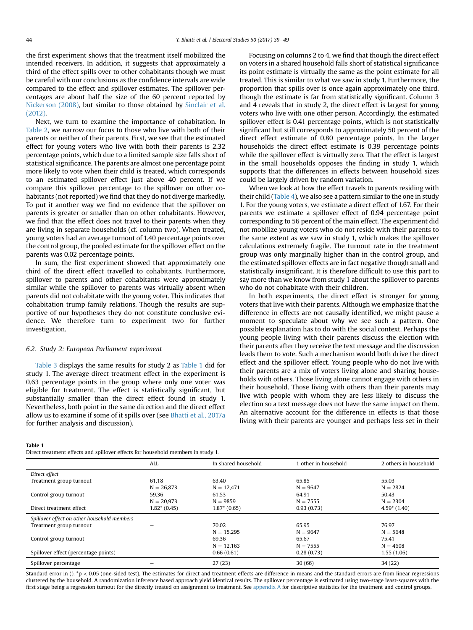<span id="page-5-0"></span>the first experiment shows that the treatment itself mobilized the intended receivers. In addition, it suggests that approximately a third of the effect spills over to other cohabitants though we must be careful with our conclusions as the confidence intervals are wide compared to the effect and spillover estimates. The spillover percentages are about half the size of the 60 percent reported by [Nickerson \(2008\)](#page-10-0), but similar to those obtained by [Sinclair et al.](#page-10-0) [\(2012\)](#page-10-0).

Next, we turn to examine the importance of cohabitation. In [Table 2](#page-6-0), we narrow our focus to those who live with both of their parents or neither of their parents. First, we see that the estimated effect for young voters who live with both their parents is 2.32 percentage points, which due to a limited sample size falls short of statistical significance. The parents are almost one percentage point more likely to vote when their child is treated, which corresponds to an estimated spillover effect just above 40 percent. If we compare this spillover percentage to the spillover on other cohabitants (not reported) we find that they do not diverge markedly. To put it another way we find no evidence that the spillover on parents is greater or smaller than on other cohabitants. However, we find that the effect does not travel to their parents when they are living in separate households (cf. column two). When treated, young voters had an average turnout of 1.40 percentage points over the control group, the pooled estimate for the spillover effect on the parents was 0.02 percentage points.

In sum, the first experiment showed that approximately one third of the direct effect travelled to cohabitants. Furthermore, spillover to parents and other cohabitants were approximately similar while the spillover to parents was virtually absent when parents did not cohabitate with the young voter. This indicates that cohabitation trump family relations. Though the results are supportive of our hypotheses they do not constitute conclusive evidence. We therefore turn to experiment two for further investigation.

### 6.2. Study 2: European Parliament experiment

[Table 3](#page-6-0) displays the same results for study 2 as Table 1 did for study 1. The average direct treatment effect in the experiment is 0.63 percentage points in the group where only one voter was eligible for treatment. The effect is statistically significant, but substantially smaller than the direct effect found in study 1. Nevertheless, both point in the same direction and the direct effect allow us to examine if some of it spills over (see [Bhatti et al., 2017a](#page-9-0) for further analysis and discussion).

on voters in a shared household falls short of statistical significance its point estimate is virtually the same as the point estimate for all treated. This is similar to what we saw in study 1. Furthermore, the proportion that spills over is once again approximately one third, though the estimate is far from statistically significant. Column 3 and 4 reveals that in study 2, the direct effect is largest for young voters who live with one other person. Accordingly, the estimated spillover effect is 0.41 percentage points, which is not statistically significant but still corresponds to approximately 50 percent of the direct effect estimate of 0.80 percentage points. In the larger households the direct effect estimate is 0.39 percentage points while the spillover effect is virtually zero. That the effect is largest in the small households opposes the finding in study 1, which supports that the differences in effects between household sizes could be largely driven by random variation.

Focusing on columns 2 to 4, we find that though the direct effect

When we look at how the effect travels to parents residing with their child ([Table 4](#page-7-0)), we also see a pattern similar to the one in study 1. For the young voters, we estimate a direct effect of 1.67. For their parents we estimate a spillover effect of 0.94 percentage point corresponding to 56 percent of the main effect. The experiment did not mobilize young voters who do not reside with their parents to the same extent as we saw in study 1, which makes the spillover calculations extremely fragile. The turnout rate in the treatment group was only marginally higher than in the control group, and the estimated spillover effects are in fact negative though small and statistically insignificant. It is therefore difficult to use this part to say more than we know from study 1 about the spillover to parents who do not cohabitate with their children.

In both experiments, the direct effect is stronger for young voters that live with their parents. Although we emphasize that the difference in effects are not causally identified, we might pause a moment to speculate about why we see such a pattern. One possible explanation has to do with the social context. Perhaps the young people living with their parents discuss the election with their parents after they receive the text message and the discussion leads them to vote. Such a mechanism would both drive the direct effect and the spillover effect. Young people who do not live with their parents are a mix of voters living alone and sharing households with others. Those living alone cannot engage with others in their household. Those living with others than their parents may live with people with whom they are less likely to discuss the election so a text message does not have the same impact on them. An alternative account for the difference in effects is that those living with their parents are younger and perhaps less set in their

### Table 1

Direct treatment effects and spillover effects for household members in study 1.

|                                             | <b>ALL</b>      | In shared household | 1 other in household | 2 others in household |
|---------------------------------------------|-----------------|---------------------|----------------------|-----------------------|
| Direct effect                               |                 |                     |                      |                       |
| Treatment group turnout                     | 61.18           | 63.40               | 65.85                | 55.03                 |
|                                             | $N = 26.873$    | $N = 12.471$        | $N = 9647$           | $N = 2824$            |
| Control group turnout                       | 59.36           | 61.53               | 64.91                | 50.43                 |
|                                             | $N = 20.973$    | $N = 9859$          | $N = 7555$           | $N = 2304$            |
| Direct treatment effect                     | $1.82^* (0.45)$ | $1.87^* (0.65)$     | 0.93(0.73)           | $4.59*(1.40)$         |
| Spillover effect on other household members |                 |                     |                      |                       |
| Treatment group turnout                     |                 | 70.02               | 65.95                | 76.97                 |
|                                             |                 | $N = 15.295$        | $N = 9647$           | $N = 5648$            |
| Control group turnout                       |                 | 69.36               | 65.67                | 75.41                 |
|                                             |                 | $N = 12.163$        | $N = 7555$           | $N = 4608$            |
| Spillover effect (percentage points)        |                 | 0.66(0.61)          | 0.28(0.73)           | 1.55(1.06)            |
| Spillover percentage                        | -               | 27(23)              | 30(66)               | 34 (22)               |

Standard error in  $()$ ,  $*p < 0.05$  (one-sided test). The estimates for direct and treatment effects are difference in means and the standard errors are from linear regressions clustered by the household. A randomization inference based approach yield identical results. The spillover percentage is estimated using two-stage least-squares with the first stage being a regression turnout for the directly treated on assignment to treatment. See [appendix A](#page-9-0) for descriptive statistics for the treatment and control groups.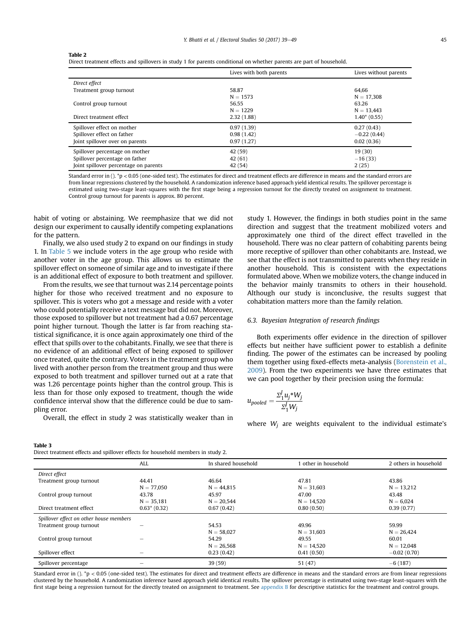#### <span id="page-6-0"></span>Table 2

|                                       | Lives with both parents | Lives without parents |
|---------------------------------------|-------------------------|-----------------------|
| Direct effect                         |                         |                       |
| Treatment group turnout               | 58.87                   | 64.66                 |
|                                       | $N = 1573$              | $N = 17.308$          |
| Control group turnout                 | 56.55                   | 63.26                 |
|                                       | $N = 1229$              | $N = 13.443$          |
| Direct treatment effect               | 2.32(1.88)              | $1.40*(0.55)$         |
| Spillover effect on mother            | 0.97(1.39)              | 0.27(0.43)            |
| Spillover effect on father            | 0.98(1.42)              | $-0.22(0.44)$         |
| Joint spillover over on parents       | 0.97(1.27)              | 0.02(0.36)            |
| Spillover percentage on mother        | 42 (59)                 | 19(30)                |
| Spillover percentage on father        | 42(61)                  | $-16(33)$             |
| Joint spillover percentage on parents | 42 (54)                 | 2(25)                 |

Standard error in  $()$ . \*p < 0.05 (one-sided test). The estimates for direct and treatment effects are difference in means and the standard errors are from linear regressions clustered by the household. A randomization inference based approach yield identical results. The spillover percentage is estimated using two-stage least-squares with the first stage being a regression turnout for the directly treated on assignment to treatment. Control group turnout for parents is approx. 80 percent.

habit of voting or abstaining. We reemphasize that we did not design our experiment to causally identify competing explanations for the pattern.

Finally, we also used study 2 to expand on our findings in study 1. In [Table 5](#page-7-0) we include voters in the age group who reside with another voter in the age group. This allows us to estimate the spillover effect on someone of similar age and to investigate if there is an additional effect of exposure to both treatment and spillover.

From the results, we see that turnout was 2.14 percentage points higher for those who received treatment and no exposure to spillover. This is voters who got a message and reside with a voter who could potentially receive a text message but did not. Moreover, those exposed to spillover but not treatment had a 0.67 percentage point higher turnout. Though the latter is far from reaching statistical significance, it is once again approximately one third of the effect that spills over to the cohabitants. Finally, we see that there is no evidence of an additional effect of being exposed to spillover once treated, quite the contrary. Voters in the treatment group who lived with another person from the treatment group and thus were exposed to both treatment and spillover turned out at a rate that was 1.26 percentage points higher than the control group. This is less than for those only exposed to treatment, though the wide confidence interval show that the difference could be due to sampling error.

Overall, the effect in study 2 was statistically weaker than in

study 1. However, the findings in both studies point in the same direction and suggest that the treatment mobilized voters and approximately one third of the direct effect travelled in the household. There was no clear pattern of cohabiting parents being more receptive of spillover than other cohabitants are. Instead, we see that the effect is not transmitted to parents when they reside in another household. This is consistent with the expectations formulated above. When we mobilize voters, the change induced in the behavior mainly transmits to others in their household. Although our study is inconclusive, the results suggest that cohabitation matters more than the family relation.

### 6.3. Bayesian Integration of research findings

Both experiments offer evidence in the direction of spillover effects but neither have sufficient power to establish a definite finding. The power of the estimates can be increased by pooling them together using fixed-effects meta-analysis [\(Borenstein et al.,](#page-9-0) [2009\)](#page-9-0). From the two experiments we have three estimates that we can pool together by their precision using the formula:

$$
u_{pooled} = \frac{\Sigma_1^j u_j^* W_j}{\Sigma_1^j W_j}
$$

where  $W_i$  are weights equivalent to the individual estimate's

| . . | ۰. | ۰. |  |
|-----|----|----|--|

|  |  |  | Direct treatment effects and spillover effects for household members in study 2. |  |  |
|--|--|--|----------------------------------------------------------------------------------|--|--|
|  |  |  |                                                                                  |  |  |
|  |  |  |                                                                                  |  |  |

|                                         | ALL             | In shared household | 1 other in household | 2 others in household |
|-----------------------------------------|-----------------|---------------------|----------------------|-----------------------|
| Direct effect                           |                 |                     |                      |                       |
| Treatment group turnout                 | 44.41           | 46.64               | 47.81                | 43.86                 |
|                                         | $N = 77.050$    | $N = 44.815$        | $N = 31.603$         | $N = 13.212$          |
| Control group turnout                   | 43.78           | 45.97               | 47.00                | 43.48                 |
|                                         | $N = 35.181$    | $N = 20.544$        | $N = 14.520$         | $N = 6.024$           |
| Direct treatment effect                 | $0.63^* (0.32)$ | 0.67(0.42)          | 0.80(0.50)           | 0.39(0.77)            |
| Spillover effect on other house members |                 |                     |                      |                       |
| Treatment group turnout                 |                 | 54.53               | 49.96                | 59.99                 |
|                                         |                 | $N = 58.027$        | $N = 31.603$         | $N = 26.424$          |
| Control group turnout                   |                 | 54.29               | 49.55                | 60.01                 |
|                                         |                 | $N = 26.568$        | $N = 14.520$         | $N = 12.048$          |
| Spillover effect                        |                 | 0.23(0.42)          | 0.41(0.50)           | $-0.02(0.70)$         |
| Spillover percentage                    |                 | 39(59)              | 51 (47)              | $-6(187)$             |

Standard error in ().  $*p < 0.05$  (one-sided test). The estimates for direct and treatment effects are difference in means and the standard errors are from linear regressions clustered by the household. A randomization inference based approach yield identical results. The spillover percentage is estimated using two-stage least-squares with the first stage being a regression turnout for the directly treated on assignment to treatment. See [appendix B](#page-9-0) for descriptive statistics for the treatment and control groups.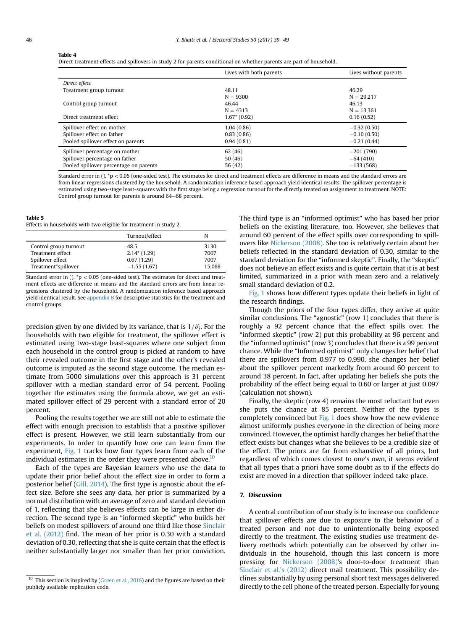#### <span id="page-7-0"></span>Table 4

Direct treatment effects and spillovers in study 2 for parents conditional on whether parents are part of household.

|                                        | Lives with both parents | Lives without parents |
|----------------------------------------|-------------------------|-----------------------|
| Direct effect                          |                         |                       |
| Treatment group turnout                | 48.11                   | 46.29                 |
|                                        | $N = 9300$              | $N = 29.217$          |
| Control group turnout                  | 46.44                   | 46.13                 |
|                                        | $N = 4313$              | $N = 13.361$          |
| Direct treatment effect                | $1.67*(0.92)$           | 0.16(0.52)            |
| Spillover effect on mother             | 1.04(0.86)              | $-0.32(0.50)$         |
| Spillover effect on father             | 0.83(0.86)              | $-0.10(0.50)$         |
| Pooled spillover effect on parents     | 0.94(0.81)              | $-0.21(0.44)$         |
| Spillover percentage on mother         | 62(46)                  | $-201(790)$           |
| Spillover percentage on father         | 50(46)                  | $-64(410)$            |
| Pooled spillover percentage on parents | 56 (42)                 | $-133(568)$           |

Standard error in  $()$ . \*p < 0.05 (one-sided test). The estimates for direct and treatment effects are difference in means and the standard errors are from linear regressions clustered by the household. A randomization inference based approach yield identical results. The spillover percentage is estimated using two-stage least-squares with the first stage being a regression turnout for the directly treated on assignment to treatment. NOTE: Control group turnout for parents is around 64–68 percent.

#### Table 5

Effects in households with two eligible for treatment in study 2.

|                       | Turnout/effect | N      |
|-----------------------|----------------|--------|
| Control group turnout | 48.5           | 3130   |
| Treatment effect      | $2.14*(1.29)$  | 7007   |
| Spillover effect      | 0.67(1.29)     | 7007   |
| Treatment*spillover   | $-1.55(1.67)$  | 15.088 |

Standard error in ().  $p < 0.05$  (one-sided test). The estimates for direct and treatment effects are difference in means and the standard errors are from linear regressions clustered by the household. A randomization inference based approach yield identical result. See [appendix B](#page-9-0) for descriptive statistics for the treatment and control groups.

precision given by one divided by its variance, that is  $1/\hat{\sigma_i}$ . For the households with two eligible for treatment, the spillover effect is estimated using two-stage least-squares where one subject from each household in the control group is picked at random to have their revealed outcome in the first stage and the other's revealed outcome is imputed as the second stage outcome. The median estimate from 5000 simulations over this approach is 31 percent spillover with a median standard error of 54 percent. Pooling together the estimates using the formula above, we get an estimated spillover effect of 29 percent with a standard error of 20 percent.

Pooling the results together we are still not able to estimate the effect with enough precision to establish that a positive spillover effect is present. However, we still learn substantially from our experiments. In order to quantify how one can learn from the experiment, [Fig. 1](#page-8-0) tracks how four types learn from each of the individual estimates in the order they were presented above. $10$ 

Each of the types are Bayesian learners who use the data to update their prior belief about the effect size in order to form a posterior belief ([Gill, 2014\)](#page-10-0). The first type is agnostic about the effect size. Before she sees any data, her prior is summarized by a normal distribution with an average of zero and standard deviation of 1, reflecting that she believes effects can be large in either direction. The second type is an "informed skeptic" who builds her beliefs on modest spillovers of around one third like those [Sinclair](#page-10-0) [et al. \(2012\)](#page-10-0) find. The mean of her prior is 0.30 with a standard deviation of 0.30, reflecting that she is quite certain that the effect is neither substantially larger nor smaller than her prior conviction. The third type is an "informed optimist" who has based her prior beliefs on the existing literature, too. However, she believes that around 60 percent of the effect spills over corresponding to spillovers like [Nickerson \(2008\)](#page-10-0). She too is relatively certain about her beliefs reflected in the standard deviation of 0.30, similar to the standard deviation for the "informed skeptic". Finally, the "skeptic" does not believe an effect exists and is quite certain that it is at best limited, summarized in a prior with mean zero and a relatively small standard deviation of 0.2.

[Fig. 1](#page-8-0) shows how different types update their beliefs in light of the research findings.

Though the priors of the four types differ, they arrive at quite similar conclusions. The "agnostic" (row 1) concludes that there is roughly a 92 percent chance that the effect spills over. The "informed skeptic" (row 2) put this probability at 96 percent and the "informed optimist" (row 3) concludes that there is a 99 percent chance. While the "Informed optimist" only changes her belief that there are spillovers from 0.977 to 0.990, she changes her belief about the spillover percent markedly from around 60 percent to around 38 percent. In fact, after updating her beliefs she puts the probability of the effect being equal to 0.60 or larger at just 0.097 (calculation not shown).

Finally, the skeptic (row 4) remains the most reluctant but even she puts the chance at 85 percent. Neither of the types is completely convinced but [Fig. 1](#page-8-0) does show how the new evidence almost uniformly pushes everyone in the direction of being more convinced. However, the optimist hardly changes her belief that the effect exists but changes what she believes to be a credible size of the effect. The priors are far from exhaustive of all priors, but regardless of which comes closest to one's own, it seems evident that all types that a priori have some doubt as to if the effects do exist are moved in a direction that spillover indeed take place.

## 7. Discussion

A central contribution of our study is to increase our confidence that spillover effects are due to exposure to the behavior of a treated person and not due to unintentionally being exposed directly to the treatment. The existing studies use treatment delivery methods which potentially can be observed by other individuals in the household, though this last concern is more pressing for [Nickerson \(2008\)](#page-10-0)'s door-to-door treatment than [Sinclair et al.'s \(2012\)](#page-10-0) direct mail treatment. This possibility declines substantially by using personal short text messages delivered directly to the cell phone of the treated person. Especially for young

 $10$  This section is inspired by ([Green et al., 2016\)](#page-10-0) and the figures are based on their publicly available replication code.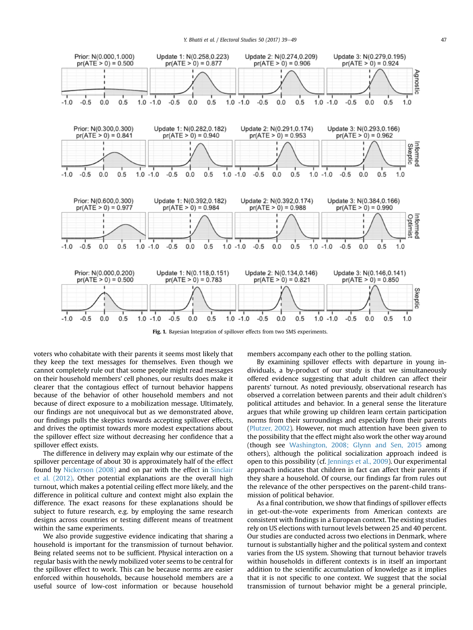<span id="page-8-0"></span>

Fig. 1. Bayesian Integration of spillover effects from two SMS experiments.

voters who cohabitate with their parents it seems most likely that they keep the text messages for themselves. Even though we cannot completely rule out that some people might read messages on their household members' cell phones, our results does make it clearer that the contagious effect of turnout behavior happens because of the behavior of other household members and not because of direct exposure to a mobilization message. Ultimately, our findings are not unequivocal but as we demonstrated above, our findings pulls the skeptics towards accepting spillover effects, and drives the optimist towards more modest expectations about the spillover effect size without decreasing her confidence that a spillover effect exists.

The difference in delivery may explain why our estimate of the spillover percentage of about 30 is approximately half of the effect found by [Nickerson \(2008\)](#page-10-0) and on par with the effect in [Sinclair](#page-10-0) [et al. \(2012\)](#page-10-0). Other potential explanations are the overall high turnout, which makes a potential ceiling effect more likely, and the difference in political culture and context might also explain the difference. The exact reasons for these explanations should be subject to future research, e.g. by employing the same research designs across countries or testing different means of treatment within the same experiments.

We also provide suggestive evidence indicating that sharing a household is important for the transmission of turnout behavior. Being related seems not to be sufficient. Physical interaction on a regular basis with the newly mobilized voter seems to be central for the spillover effect to work. This can be because norms are easier enforced within households, because household members are a useful source of low-cost information or because household

members accompany each other to the polling station.

By examining spillover effects with departure in young individuals, a by-product of our study is that we simultaneously offered evidence suggesting that adult children can affect their parents' turnout. As noted previously, observational research has observed a correlation between parents and their adult children's political attitudes and behavior. In a general sense the literature argues that while growing up children learn certain participation norms from their surroundings and especially from their parents ([Plutzer, 2002\)](#page-10-0). However, not much attention have been given to the possibility that the effect might also work the other way around (though see [Washington, 2008; Glynn and Sen, 2015](#page-10-0) among others), although the political socialization approach indeed is open to this possibility (cf. [Jennings et al., 2009\)](#page-10-0). Our experimental approach indicates that children in fact can affect their parents if they share a household. Of course, our findings far from rules out the relevance of the other perspectives on the parent-child transmission of political behavior.

As a final contribution, we show that findings of spillover effects in get-out-the-vote experiments from American contexts are consistent with findings in a European context. The existing studies rely on US elections with turnout levels between 25 and 40 percent. Our studies are conducted across two elections in Denmark, where turnout is substantially higher and the political system and context varies from the US system. Showing that turnout behavior travels within households in different contexts is in itself an important addition to the scientific accumulation of knowledge as it implies that it is not specific to one context. We suggest that the social transmission of turnout behavior might be a general principle,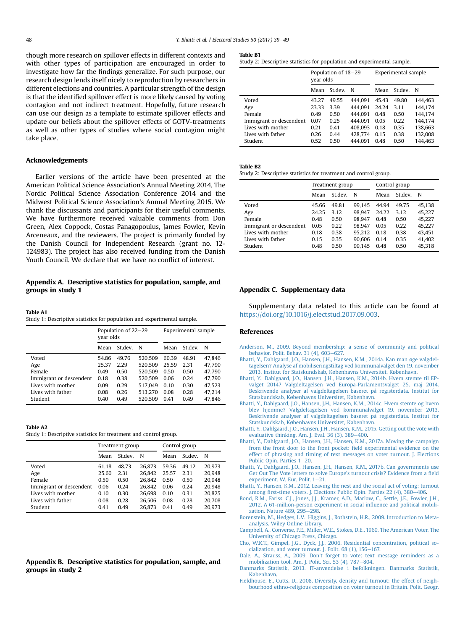<span id="page-9-0"></span>though more research on spillover effects in different contexts and with other types of participation are encouraged in order to investigate how far the findings generalize. For such purpose, our research design lends itself nicely to reproduction by researchers in different elections and countries. A particular strength of the design is that the identified spillover effect is more likely caused by voting contagion and not indirect treatment. Hopefully, future research can use our design as a template to estimate spillover effects and update our beliefs about the spillover effects of GOTV-treatments as well as other types of studies where social contagion might take place.

#### Acknowledgements

Earlier versions of the article have been presented at the American Political Science Association's Annual Meeting 2014, The Nordic Political Science Association Conference 2014 and the Midwest Political Science Association's Annual Meeting 2015. We thank the discussants and participants for their useful comments. We have furthermore received valuable comments from Don Green, Alex Coppock, Costas Panagopoulus, James Fowler, Kevin Arceneaux, and the reviewers. The project is primarily funded by the Danish Council for Independent Research (grant no. 12- 124983). The project has also received funding from the Danish Youth Council. We declare that we have no conflict of interest.

## Appendix A. Descriptive statistics for population, sample, and groups in study 1

Table A1

Study 1: Descriptive statistics for population and experimental sample.

|                         | Population of 22–29<br>year olds |         |         | Experimental sample |         |        |
|-------------------------|----------------------------------|---------|---------|---------------------|---------|--------|
|                         | Mean                             | St.dev. | N       | Mean                | St.dev. | N      |
| Voted                   | 54.86                            | 49.76   | 520.509 | 60.39               | 48.91   | 47.846 |
| Age                     | 25.37                            | 2.29    | 520.509 | 25.59               | 2.31    | 47.790 |
| Female                  | 0.49                             | 0.50    | 520.509 | 0.50                | 0.50    | 47.790 |
| Immigrant or descendent | 0.18                             | 0.38    | 520.509 | 0.06                | 0.24    | 47.790 |
| Lives with mother       | 0.09                             | 0.29    | 517.049 | 0.10                | 0.30    | 47.523 |
| Lives with father       | 0.08                             | 0.26    | 513.270 | 0.08                | 0.28    | 47.214 |
| Student                 | 0.40                             | 0.49    | 520.509 | 0.41                | 0.49    | 47.846 |

#### Table A2

|  | Study 1: Descriptive statistics for treatment and control group. |  |  |
|--|------------------------------------------------------------------|--|--|
|  |                                                                  |  |  |

|                         | Treatment group |         |        | Control group |         |        |
|-------------------------|-----------------|---------|--------|---------------|---------|--------|
|                         | Mean            | St.dev. | N      | Mean          | St.dev. | N      |
| Voted                   | 61.18           | 48.73   | 26.873 | 59.36         | 49.12   | 20.973 |
| Age                     | 25.60           | 2.31    | 26.842 | 25.57         | 2.31    | 20.948 |
| Female                  | 0.50            | 0.50    | 26.842 | 0.50          | 0.50    | 20.948 |
| Immigrant or descendent | 0.06            | 0.24    | 26.842 | 0.06          | 0.24    | 20.948 |
| Lives with mother       | 0.10            | 0.30    | 26.698 | 0.10          | 0.31    | 20.825 |
| Lives with father       | 0.08            | 0.28    | 26.506 | 0.08          | 0.28    | 20.708 |
| Student                 | 0.41            | 0.49    | 26.873 | 0.41          | 0.49    | 20.973 |

## Appendix B. Descriptive statistics for population, sample, and groups in study 2

#### Table B1

Study 2: Descriptive statistics for population and experimental sample.

|                         | Population of 18–29<br>year olds |         |             | Experimental sample |         |         |
|-------------------------|----------------------------------|---------|-------------|---------------------|---------|---------|
|                         | Mean                             | St.dev. | $\mathbf N$ | Mean                | St.dev. | N       |
| Voted                   | 43.27                            | 49.55   | 444.091     | 45.43               | 49.80   | 144.463 |
| Age                     | 23.33                            | 3.39    | 444.091     | 24.24               | 3.11    | 144.174 |
| Female                  | 0.49                             | 0.50    | 444.091     | 0.48                | 0.50    | 144.174 |
| Immigrant or descendent | 0.07                             | 0.25    | 444.091     | 0.05                | 0.22    | 144.174 |
| Lives with mother       | 0.21                             | 0.41    | 408.093     | 0.18                | 0.35    | 138.663 |
| Lives with father       | 0.26                             | 0.44    | 428.774     | 0.15                | 0.38    | 132.008 |
| Student                 | 0.52                             | 0.50    | 444.091     | 0.48                | 0.50    | 144.463 |

### Table B2

Study 2: Descriptive statistics for treatment and control group.

|                         | Treatment group |         |        | Control group |         |        |
|-------------------------|-----------------|---------|--------|---------------|---------|--------|
|                         | Mean            | St.dev. | N      | Mean          | St.dev. | N      |
| Voted                   | 45.66           | 49.81   | 99.145 | 44.94         | 49.75   | 45.138 |
| Age                     | 24.25           | 3.12    | 98.947 | 24.22         | 3.12    | 45.227 |
| Female                  | 0.48            | 0.50    | 98.947 | 0.48          | 0.50    | 45.227 |
| Immigrant or descendent | 0.05            | 0.22    | 98.947 | 0.05          | 0.22    | 45,227 |
| Lives with mother       | 0.18            | 0.38    | 95.212 | 0.18          | 0.38    | 43.451 |
| Lives with father       | 0.15            | 0.35    | 90.606 | 0.14          | 0.35    | 41.402 |
| Student                 | 0.48            | 0.50    | 99.145 | 0.48          | 0.50    | 45,318 |

#### Appendix C. Supplementary data

Supplementary data related to this article can be found at [https://doi.org/10.1016/j.electstud.2017.09.003.](https://doi.org/10.1016/j.electstud.2017.09.003)

#### References

- [Anderson, M., 2009. Beyond membership: a sense of community and political](http://refhub.elsevier.com/S0261-3794(16)30153-6/sref1) [behavior. Polit. Behav. 31 \(4\), 603](http://refhub.elsevier.com/S0261-3794(16)30153-6/sref1)-[627.](http://refhub.elsevier.com/S0261-3794(16)30153-6/sref1)
- [Bhatti, Y., Dahlgaard, J.O., Hansen, J.H., Hansen, K.M., 2014a. Kan man øge valgdel](http://refhub.elsevier.com/S0261-3794(16)30153-6/sref32)[tagelsen? Analyse af mobiliseringstiltag ved kommunalvalget den 19. november](http://refhub.elsevier.com/S0261-3794(16)30153-6/sref32) [2013. Institut for Statskundskab, Københavns Universitet, København.](http://refhub.elsevier.com/S0261-3794(16)30153-6/sref32)
- [Bhatti, Y., Dahlgaard, J.O., Hansen, J.H., Hansen, K.M., 2014b. Hvem stemte til EP](http://refhub.elsevier.com/S0261-3794(16)30153-6/sref33)[valget 2014? Valgdeltagelsen ved Europa-Parlamentsvalget 25. maj 2014.](http://refhub.elsevier.com/S0261-3794(16)30153-6/sref33) [Beskrivende analyser af valgdeltagelsen baseret på registerdata. Institut for](http://refhub.elsevier.com/S0261-3794(16)30153-6/sref33) [Statskundskab, Københavns Universitet, København](http://refhub.elsevier.com/S0261-3794(16)30153-6/sref33).
- [Bhatti, Y., Dahlgaard, J.O., Hansen, J.H., Hansen, K.M., 2014c. Hvem stemte og hvem](http://refhub.elsevier.com/S0261-3794(16)30153-6/sref34) [blev hjemme? Valgdeltagelsen ved kommunalvalget 19. november 2013.](http://refhub.elsevier.com/S0261-3794(16)30153-6/sref34) [Beskrivende analyser af valgdeltagelsen baseret på registerdata. Institut for](http://refhub.elsevier.com/S0261-3794(16)30153-6/sref34) [Statskundskab, Københavns Universitet, København](http://refhub.elsevier.com/S0261-3794(16)30153-6/sref34).
- [Bhatti, Y., Dahlgaard, J.O., Hansen, J.H., Hansen, K.M., 2015. Getting out the vote with](http://refhub.elsevier.com/S0261-3794(16)30153-6/sref35) evaluative thinking. Am. J. Eval.  $36(3)$ ,  $389-400$  $389-400$ .
- [Bhatti, Y., Dahlgaard, J.O., Hansen, J.H., Hansen, K.M., 2017a. Moving the campaign](http://refhub.elsevier.com/S0261-3794(16)30153-6/sref36) [from the front door to the front pocket:](http://refhub.elsevier.com/S0261-3794(16)30153-6/sref36) field experimental evidence on the [effect of phrasing and timing of text messages on voter turnout. J. Elections](http://refhub.elsevier.com/S0261-3794(16)30153-6/sref36) [Public Opin. Parties 1](http://refhub.elsevier.com/S0261-3794(16)30153-6/sref36)-[20](http://refhub.elsevier.com/S0261-3794(16)30153-6/sref36).
- [Bhatti, Y., Dahlgaard, J.O., Hansen, J.H., Hansen, K.M., 2017b. Can governments use](http://refhub.elsevier.com/S0261-3794(16)30153-6/sref37) [Get Out The Vote letters to solve Europe](http://refhub.elsevier.com/S0261-3794(16)30153-6/sref37)'s turnout crisis? Evidence from a field [experiment. W. Eur. Polit. 1](http://refhub.elsevier.com/S0261-3794(16)30153-6/sref37)-[21.](http://refhub.elsevier.com/S0261-3794(16)30153-6/sref37)
- [Bhatti, Y., Hansen, K.M., 2012. Leaving the nest and the social act of voting: turnout](http://refhub.elsevier.com/S0261-3794(16)30153-6/sref38) among fi[rst-time voters. J. Elections Public Opin. Parties 22 \(4\), 380](http://refhub.elsevier.com/S0261-3794(16)30153-6/sref38)–[406.](http://refhub.elsevier.com/S0261-3794(16)30153-6/sref38)<br>Bond, R.M., Fariss, C.J., Jones, J.J., Kramer, A.D., Marlow, C., Settle, J.E., Fowler, J.H.
- [2012. A 61-million-person experiment in social in](http://refhub.elsevier.com/S0261-3794(16)30153-6/sref39)fluence and political mobili[zation. Nature 489, 295](http://refhub.elsevier.com/S0261-3794(16)30153-6/sref39)-[298.](http://refhub.elsevier.com/S0261-3794(16)30153-6/sref39)
- [Borenstein, M., Hedges, L.V., Higgins, J., Rothstein, H.R., 2009. Introduction to Meta](http://refhub.elsevier.com/S0261-3794(16)30153-6/sref2)[analysis. Wiley Online Library.](http://refhub.elsevier.com/S0261-3794(16)30153-6/sref2)
- [Campbell, A., Converse, P.E., Miller, W.E., Stokes, D.E., 1960. The American Voter. The](http://refhub.elsevier.com/S0261-3794(16)30153-6/sref3) [University of Chicago Press, Chicago.](http://refhub.elsevier.com/S0261-3794(16)30153-6/sref3)
- Cho, W.K.T., Gimpel, J.G., Dyck, J.J., 2006. Residential concentration, political so-<br>[cialization, and voter turnout. J. Polit. 68 \(1\), 156](http://refhub.elsevier.com/S0261-3794(16)30153-6/sref4)–[167.](http://refhub.elsevier.com/S0261-3794(16)30153-6/sref4)
- [Dale, A., Strauss, A., 2009. Don't forget to vote: text message reminders as a](http://refhub.elsevier.com/S0261-3794(16)30153-6/sref5) [mobilization tool. Am. J. Polit. Sci. 53 \(4\), 787](http://refhub.elsevier.com/S0261-3794(16)30153-6/sref5)-[804](http://refhub.elsevier.com/S0261-3794(16)30153-6/sref5).
- [Danmarks Statistik, 2013. IT-anvendelse i befolkningen. Danmarks Statistik,](http://refhub.elsevier.com/S0261-3794(16)30153-6/sref6) [K](http://refhub.elsevier.com/S0261-3794(16)30153-6/sref6)ø[benhavn.](http://refhub.elsevier.com/S0261-3794(16)30153-6/sref6)
- [Fieldhouse, E., Cutts, D., 2008. Diversity, density and turnout: the effect of neigh](http://refhub.elsevier.com/S0261-3794(16)30153-6/sref7)[bourhood ethno-religious composition on voter turnout in Britain. Polit. Geogr.](http://refhub.elsevier.com/S0261-3794(16)30153-6/sref7)